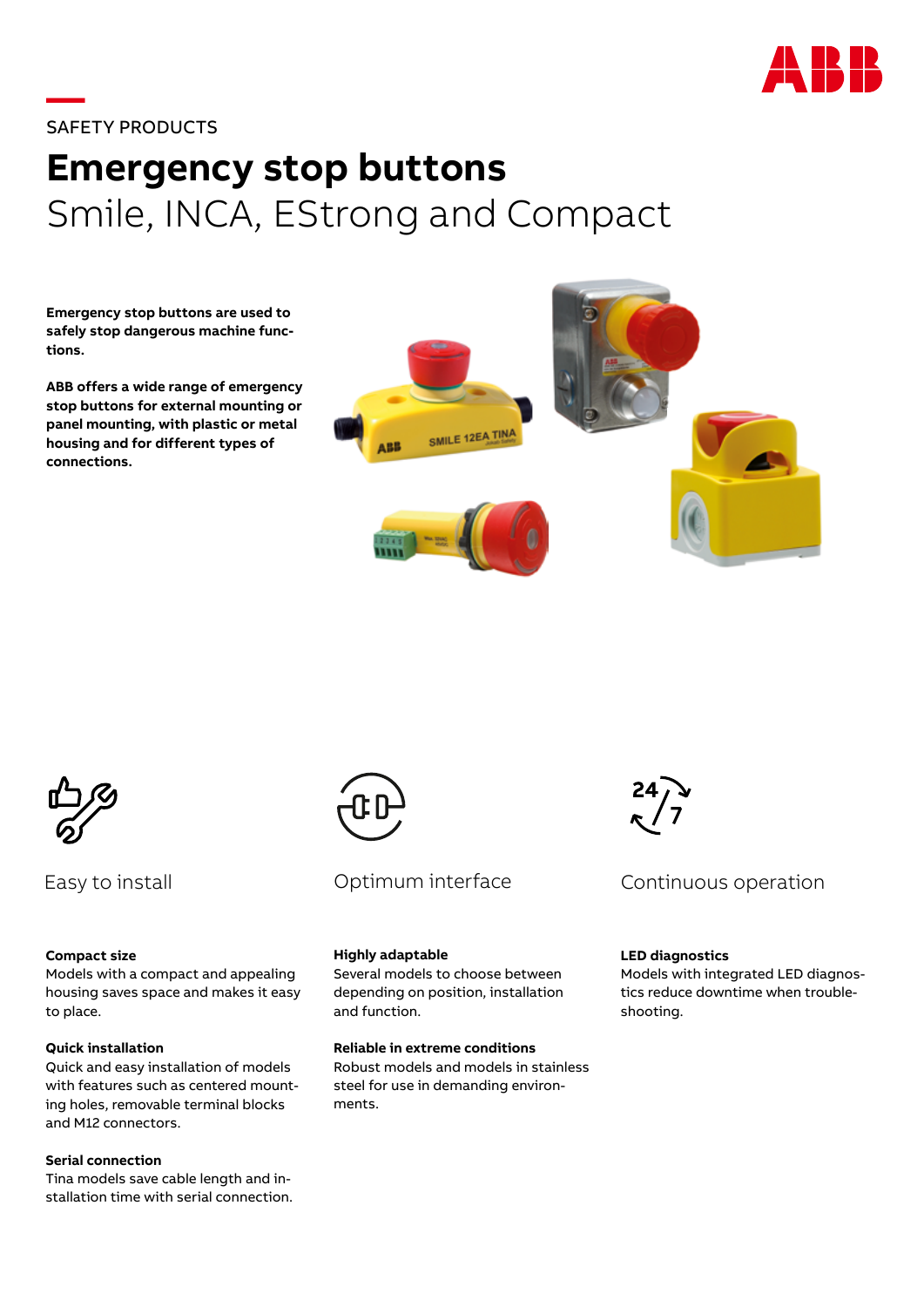

## **—**SAFETY PRODUCTS

# **Emergency stop buttons** Smile, INCA, EStrong and Compact

**Emergency stop buttons are used to safely stop dangerous machine functions.**

**ABB offers a wide range of emergency stop buttons for external mounting or panel mounting, with plastic or metal housing and for different types of connections.**





Easy to install

#### **Compact size**

Models with a compact and appealing housing saves space and makes it easy to place.

### **Quick installation**

Quick and easy installation of models with features such as centered mounting holes, removable terminal blocks and M12 connectors.

#### **Serial connection**

Tina models save cable length and installation time with serial connection.



## Optimum interface

#### **Highly adaptable**

Several models to choose between depending on position, installation and function.

### **Reliable in extreme conditions**

Robust models and models in stainless steel for use in demanding environments.



## Continuous operation

#### **LED diagnostics**

Models with integrated LED diagnostics reduce downtime when troubleshooting.